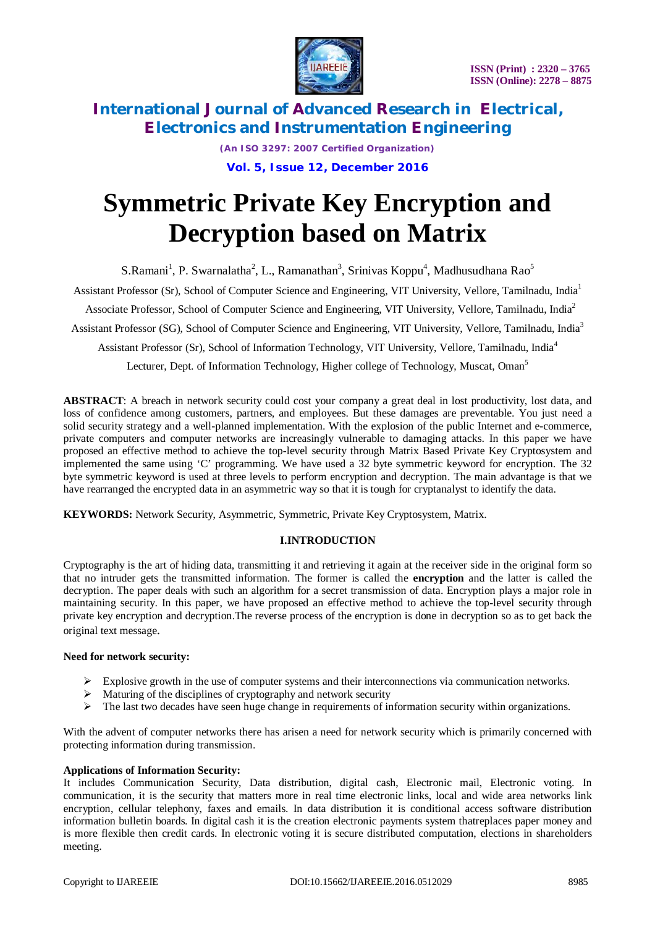

*(An ISO 3297: 2007 Certified Organization)* **Vol. 5, Issue 12, December 2016**

# **Symmetric Private Key Encryption and Decryption based on Matrix**

S.Ramani<sup>1</sup>, P. Swarnalatha<sup>2</sup>, L., Ramanathan<sup>3</sup>, Srinivas Koppu<sup>4</sup>, Madhusudhana Rao<sup>5</sup>

Assistant Professor (Sr), School of Computer Science and Engineering, VIT University, Vellore, Tamilnadu, India<sup>1</sup>

Associate Professor, School of Computer Science and Engineering, VIT University, Vellore, Tamilnadu, India<sup>2</sup>

Assistant Professor (SG), School of Computer Science and Engineering, VIT University, Vellore, Tamilnadu, India<sup>3</sup>

Assistant Professor (Sr), School of Information Technology, VIT University, Vellore, Tamilnadu, India<sup>4</sup>

Lecturer, Dept. of Information Technology, Higher college of Technology, Muscat, Oman<sup>5</sup>

**ABSTRACT**: A breach in network security could cost your company a great deal in lost productivity, lost data, and loss of confidence among customers, partners, and employees. But these damages are preventable. You just need a solid security strategy and a well-planned implementation. With the explosion of the public Internet and e-commerce, private computers and computer networks are increasingly vulnerable to damaging attacks. In this paper we have proposed an effective method to achieve the top-level security through Matrix Based Private Key Cryptosystem and implemented the same using 'C' programming. We have used a 32 byte symmetric keyword for encryption. The 32 byte symmetric keyword is used at three levels to perform encryption and decryption. The main advantage is that we have rearranged the encrypted data in an asymmetric way so that it is tough for cryptanalyst to identify the data.

**KEYWORDS:** Network Security, Asymmetric, Symmetric, Private Key Cryptosystem, Matrix.

### **I.INTRODUCTION**

Cryptography is the art of hiding data, transmitting it and retrieving it again at the receiver side in the original form so that no intruder gets the transmitted information. The former is called the **encryption** and the latter is called the decryption. The paper deals with such an algorithm for a secret transmission of data. Encryption plays a major role in maintaining security. In this paper, we have proposed an effective method to achieve the top-level security through private key encryption and decryption.The reverse process of the encryption is done in decryption so as to get back the original text message.

#### **Need for network security:**

- $\triangleright$  Explosive growth in the use of computer systems and their interconnections via communication networks.
- $\triangleright$  Maturing of the disciplines of cryptography and network security
- $\triangleright$  The last two decades have seen huge change in requirements of information security within organizations.

With the advent of computer networks there has arisen a need for network security which is primarily concerned with protecting information during transmission.

#### **Applications of Information Security:**

It includes Communication Security, Data distribution, digital cash, Electronic mail, Electronic voting. In communication, it is the security that matters more in real time electronic links, local and wide area networks link encryption, cellular telephony, faxes and emails. In data distribution it is conditional access software distribution information bulletin boards. In digital cash it is the creation electronic payments system thatreplaces paper money and is more flexible then credit cards. In electronic voting it is secure distributed computation, elections in shareholders meeting.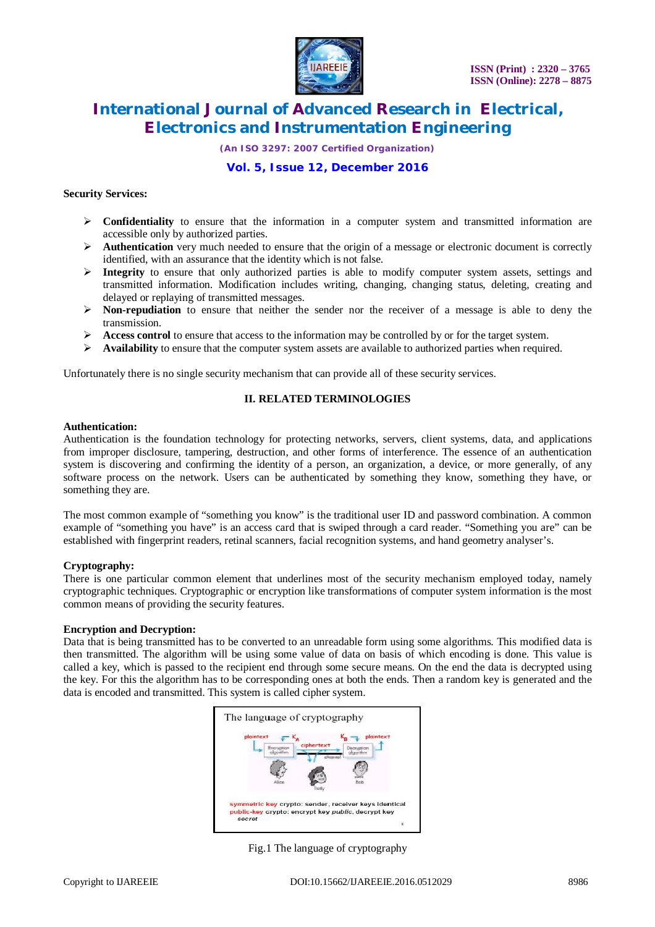

*(An ISO 3297: 2007 Certified Organization)*

## **Vol. 5, Issue 12, December 2016**

#### **Security Services:**

- **Confidentiality** to ensure that the information in a computer system and transmitted information are accessible only by authorized parties.
- Authentication very much needed to ensure that the origin of a message or electronic document is correctly identified, with an assurance that the identity which is not false.
- Integrity to ensure that only authorized parties is able to modify computer system assets, settings and transmitted information. Modification includes writing, changing, changing status, deleting, creating and delayed or replaying of transmitted messages.
- **Non-repudiation** to ensure that neither the sender nor the receiver of a message is able to deny the transmission.
- Access control to ensure that access to the information may be controlled by or for the target system.
- **Availability** to ensure that the computer system assets are available to authorized parties when required.

Unfortunately there is no single security mechanism that can provide all of these security services.

### **II. RELATED TERMINOLOGIES**

#### **Authentication:**

Authentication is the foundation technology for protecting networks, servers, client systems, data, and applications from improper disclosure, tampering, destruction, and other forms of interference. The essence of an authentication system is discovering and confirming the identity of a person, an organization, a device, or more generally, of any software process on the network. Users can be authenticated by something they know, something they have, or something they are.

The most common example of "something you know" is the traditional user ID and password combination. A common example of "something you have" is an access card that is swiped through a card reader. "Something you are" can be established with fingerprint readers, retinal scanners, facial recognition systems, and hand geometry analyser's.

#### **Cryptography:**

There is one particular common element that underlines most of the security mechanism employed today, namely cryptographic techniques. Cryptographic or encryption like transformations of computer system information is the most common means of providing the security features.

#### **Encryption and Decryption:**

Data that is being transmitted has to be converted to an unreadable form using some algorithms. This modified data is then transmitted. The algorithm will be using some value of data on basis of which encoding is done. This value is called a key, which is passed to the recipient end through some secure means. On the end the data is decrypted using the key. For this the algorithm has to be corresponding ones at both the ends. Then a random key is generated and the data is encoded and transmitted. This system is called cipher system.



Fig.1 The language of cryptography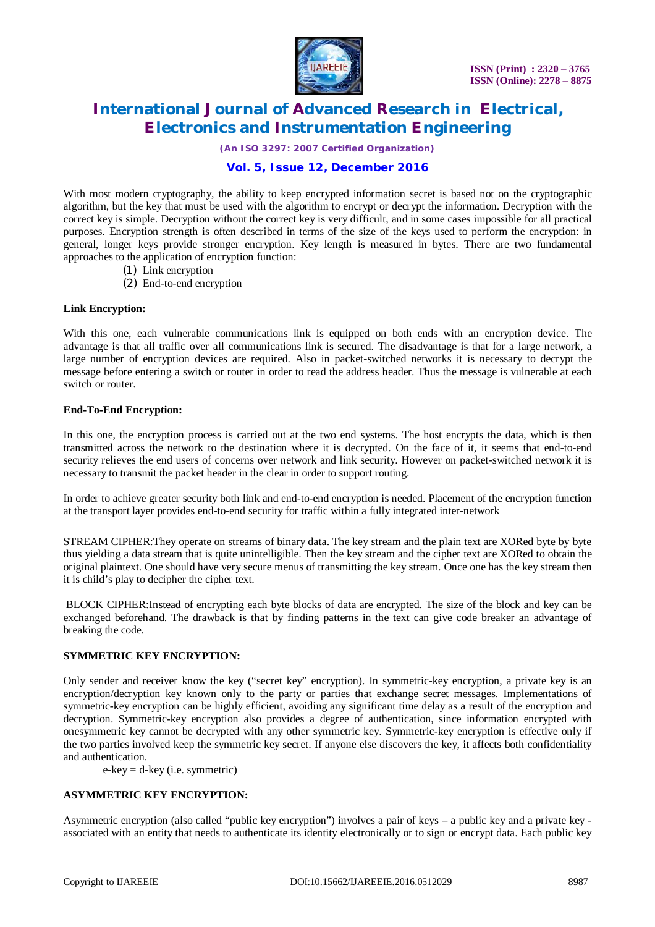

*(An ISO 3297: 2007 Certified Organization)*

### **Vol. 5, Issue 12, December 2016**

With most modern cryptography, the ability to keep encrypted information secret is based not on the cryptographic algorithm, but the key that must be used with the algorithm to encrypt or decrypt the information. Decryption with the correct key is simple. Decryption without the correct key is very difficult, and in some cases impossible for all practical purposes. Encryption strength is often described in terms of the size of the keys used to perform the encryption: in general, longer keys provide stronger encryption. Key length is measured in bytes. There are two fundamental approaches to the application of encryption function:

- (1) Link encryption
- (2) End-to-end encryption

#### **Link Encryption:**

With this one, each vulnerable communications link is equipped on both ends with an encryption device. The advantage is that all traffic over all communications link is secured. The disadvantage is that for a large network, a large number of encryption devices are required. Also in packet-switched networks it is necessary to decrypt the message before entering a switch or router in order to read the address header. Thus the message is vulnerable at each switch or router.

#### **End-To-End Encryption:**

In this one, the encryption process is carried out at the two end systems. The host encrypts the data, which is then transmitted across the network to the destination where it is decrypted. On the face of it, it seems that end-to-end security relieves the end users of concerns over network and link security. However on packet-switched network it is necessary to transmit the packet header in the clear in order to support routing.

In order to achieve greater security both link and end-to-end encryption is needed. Placement of the encryption function at the transport layer provides end-to-end security for traffic within a fully integrated inter-network

STREAM CIPHER:They operate on streams of binary data. The key stream and the plain text are XORed byte by byte thus yielding a data stream that is quite unintelligible. Then the key stream and the cipher text are XORed to obtain the original plaintext. One should have very secure menus of transmitting the key stream. Once one has the key stream then it is child's play to decipher the cipher text.

BLOCK CIPHER:Instead of encrypting each byte blocks of data are encrypted. The size of the block and key can be exchanged beforehand. The drawback is that by finding patterns in the text can give code breaker an advantage of breaking the code.

#### **SYMMETRIC KEY ENCRYPTION:**

Only sender and receiver know the key ("secret key" encryption). In symmetric-key encryption, a private key is an encryption/decryption key known only to the party or parties that exchange secret messages. Implementations of symmetric-key encryption can be highly efficient, avoiding any significant time delay as a result of the encryption and decryption. Symmetric-key encryption also provides a degree of authentication, since information encrypted with onesymmetric key cannot be decrypted with any other symmetric key. Symmetric-key encryption is effective only if the two parties involved keep the symmetric key secret. If anyone else discovers the key, it affects both confidentiality and authentication.

 $e$ -key = d-key (i.e. symmetric)

#### **ASYMMETRIC KEY ENCRYPTION:**

Asymmetric encryption (also called "public key encryption") involves a pair of keys – a public key and a private key associated with an entity that needs to authenticate its identity electronically or to sign or encrypt data. Each public key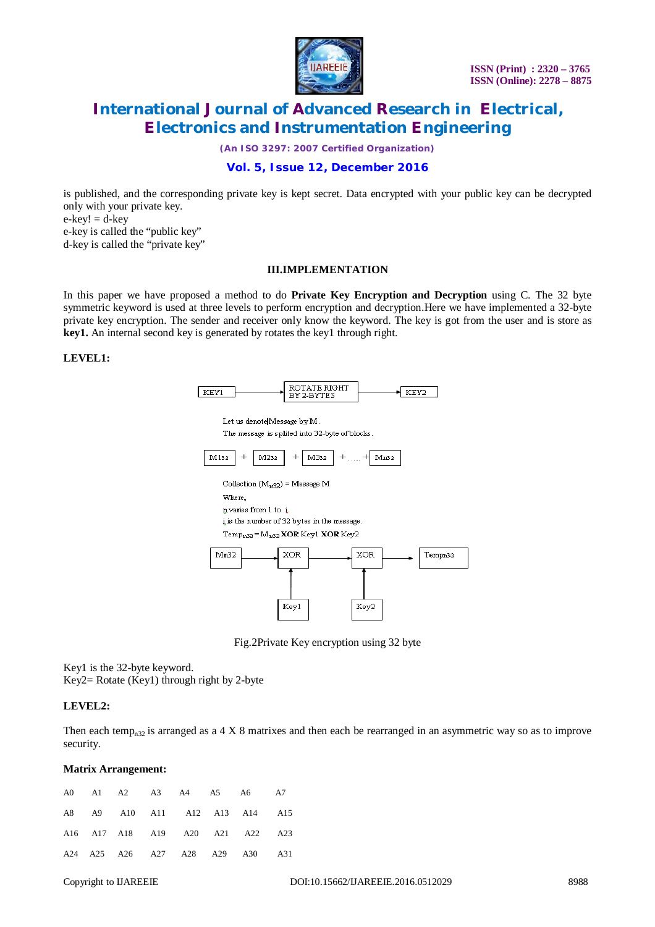

*(An ISO 3297: 2007 Certified Organization)*

### **Vol. 5, Issue 12, December 2016**

is published, and the corresponding private key is kept secret. Data encrypted with your public key can be decrypted only with your private key.  $e$ -key! =  $d$ -key

e-key is called the "public key" d-key is called the "private key"

#### **III.IMPLEMENTATION**

In this paper we have proposed a method to do **Private Key Encryption and Decryption** using C. The 32 byte symmetric keyword is used at three levels to perform encryption and decryption.Here we have implemented a 32-byte private key encryption. The sender and receiver only know the keyword. The key is got from the user and is store as **key1.** An internal second key is generated by rotates the key1 through right.

#### **LEVEL1:**

|  | . .            |  |
|--|----------------|--|
|  | 'C C<br>.u vod |  |

Let us denote Message by M.

The message is splited into 32-byte of blocks.



Fig.2Private Key encryption using 32 byte

Key1 is the 32-byte keyword. Key2= Rotate (Key1) through right by 2-byte

#### **LEVEL2:**

Then each temp<sub>n32</sub> is arranged as a 4 X 8 matrixes and then each be rearranged in an asymmetric way so as to improve security.

#### **Matrix Arrangement:**

|  |  | A0 A1 A2 A3 A4 A5 A6 A7         |  |  |
|--|--|---------------------------------|--|--|
|  |  | A8 A9 A10 A11 A12 A13 A14 A15   |  |  |
|  |  | A16 A17 A18 A19 A20 A21 A22 A23 |  |  |
|  |  | A24 A25 A26 A27 A28 A29 A30 A31 |  |  |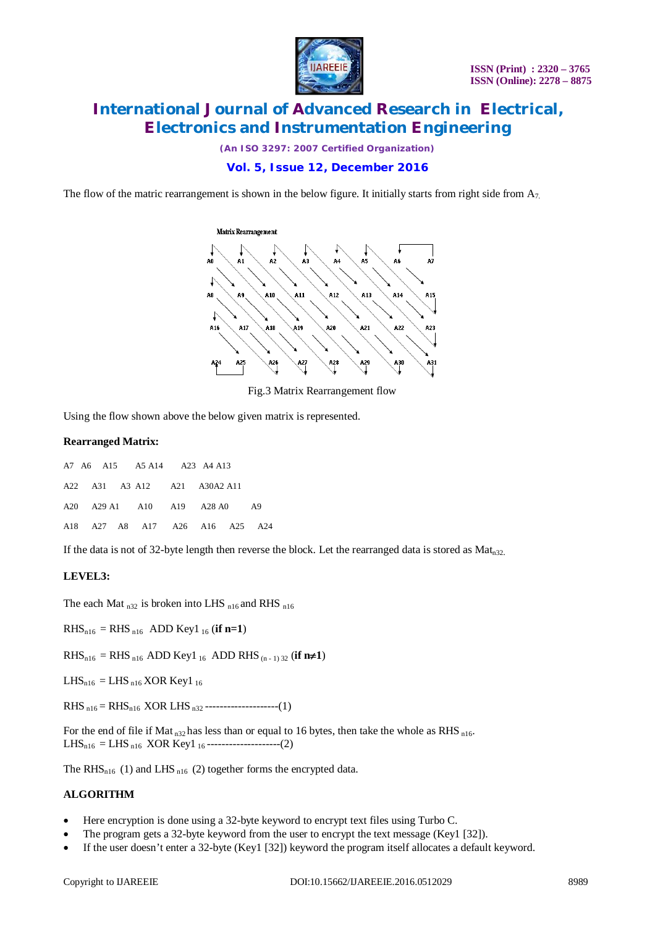

*(An ISO 3297: 2007 Certified Organization)*

### **Vol. 5, Issue 12, December 2016**

The flow of the matric rearrangement is shown in the below figure. It initially starts from right side from  $A_7$ .



Fig.3 Matrix Rearrangement flow

Using the flow shown above the below given matrix is represented.

#### **Rearranged Matrix:**

| A7 A6 A15 A5 A14 A23 A4 A13    |  |  |    |
|--------------------------------|--|--|----|
| A22 A31 A3 A12 A21 A30A2 A11   |  |  |    |
| A20 A29 A1 A10 A19 A28 A0      |  |  | A9 |
| A18 A27 A8 A17 A26 A16 A25 A24 |  |  |    |

If the data is not of 32-byte length then reverse the block. Let the rearranged data is stored as  $Mat_{n32}$ .

#### **LEVEL3:**

The each Mat  $_{n32}$  is broken into LHS  $_{n16}$  and RHS  $_{n16}$ 

 $RHS_{n16} = RHS_{n16}$  ADD Key1<sub>16</sub> (**if n=1**)

 $RHS_{n16} = RHS_{n16}$  ADD Key1 <sub>16</sub> ADD RHS (n - 1) 32 (**if n** $\neq$ 1)

 $LHS_{n16} = LHS_{n16} XOR Key1_{16}$ 

RHS  $_{n16}$  = RHS<sub>n16</sub> XOR LHS <sub>n32</sub> ----------------------(1)

For the end of file if Mat<sub>n32</sub> has less than or equal to 16 bytes, then take the whole as RHS <sub>n16</sub>.  $LHS<sub>n16</sub> = LHS<sub>n16</sub> XOR Key1<sub>16</sub>$ ---------------------(2)

The RHS<sub>n16</sub> (1) and LHS<sub>n16</sub> (2) together forms the encrypted data.

#### **ALGORITHM**

- Here encryption is done using a 32-byte keyword to encrypt text files using Turbo C.
- The program gets a 32-byte keyword from the user to encrypt the text message (Key1 [32]).
- If the user doesn't enter a 32-byte (Key1 [32]) keyword the program itself allocates a default keyword.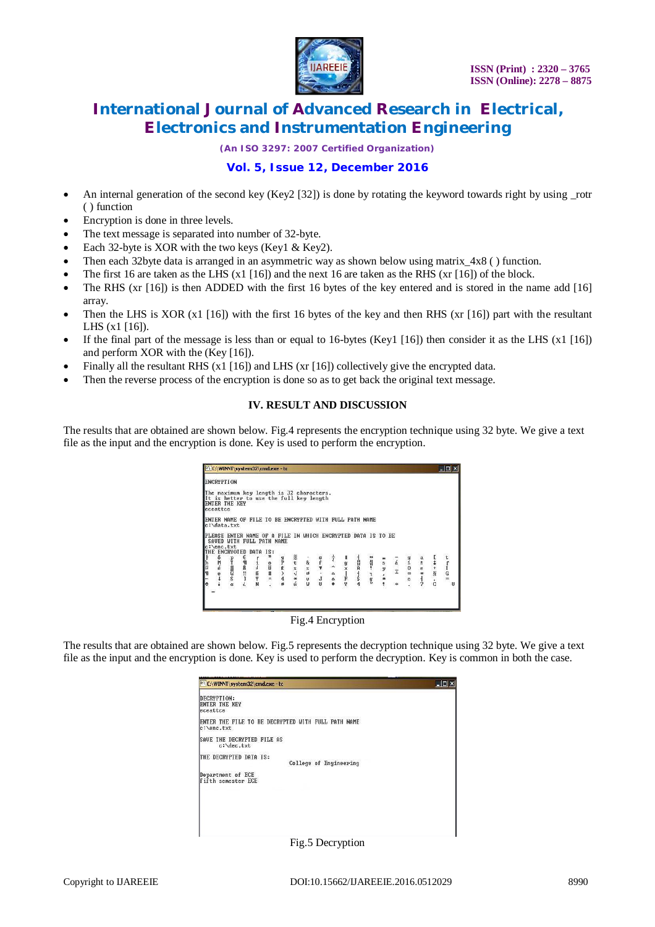

*(An ISO 3297: 2007 Certified Organization)*

### **Vol. 5, Issue 12, December 2016**

- An internal generation of the second key (Key2 [32]) is done by rotating the keyword towards right by using rotr ( ) function
- Encryption is done in three levels.
- The text message is separated into number of 32-byte.
- Each 32-byte is XOR with the two keys (Key1 & Key2).
- Then each 32byte data is arranged in an asymmetric way as shown below using matrix  $4x8()$  function.
- The first 16 are taken as the LHS (x1 [16]) and the next 16 are taken as the RHS (xr [16]) of the block.
- The RHS (xr [16]) is then ADDED with the first 16 bytes of the key entered and is stored in the name add [16] array.
- Then the LHS is XOR  $(x1 \mid 16)$  with the first 16 bytes of the key and then RHS  $(xr \mid 16)$  part with the resultant LHS (x1 [16]).
- If the final part of the message is less than or equal to 16-bytes (Key1 [16]) then consider it as the LHS (x1 [16]) and perform XOR with the (Key [16]).
- Finally all the resultant RHS (x1 [16]) and LHS (xr [16]) collectively give the encrypted data.
- Then the reverse process of the encryption is done so as to get back the original text message.

#### **IV. RESULT AND DISCUSSION**

The results that are obtained are shown below. Fig.4 represents the encryption technique using 32 byte. We give a text file as the input and the encryption is done. Key is used to perform the encryption.

|                   |               | C:\WINNT\system32\cmd.exe - tc                                                                                                                      |               |         |                     |                                                                                                                    |        |                                                                                                                |             |                   |            |                                                                  |                | $ \Box$ $\times$ |
|-------------------|---------------|-----------------------------------------------------------------------------------------------------------------------------------------------------|---------------|---------|---------------------|--------------------------------------------------------------------------------------------------------------------|--------|----------------------------------------------------------------------------------------------------------------|-------------|-------------------|------------|------------------------------------------------------------------|----------------|------------------|
| <b>ENCRYPTION</b> |               |                                                                                                                                                     |               |         |                     |                                                                                                                    |        |                                                                                                                |             |                   |            |                                                                  |                |                  |
| eceattce          | ENTER THE KEY | The maximum key length is 32 characters.<br>It is better to use the full key length                                                                 |               |         |                     |                                                                                                                    |        |                                                                                                                |             |                   |            |                                                                  |                |                  |
|                   | c:\data.txt   | ENTER NAME OF FILE TO BE ENCRYPTED WITH FULL PATH NAME<br>PLEASE ENTER NAME OF A FILE IN WHICH ENCRYPTED DATA IS TO BE<br>SAVED WITH FULL PATH NAME |               |         |                     |                                                                                                                    |        |                                                                                                                |             |                   |            |                                                                  |                |                  |
| c:\enc.txt        |               |                                                                                                                                                     |               |         |                     |                                                                                                                    |        |                                                                                                                |             |                   |            |                                                                  |                |                  |
|                   |               |                                                                                                                                                     | gpp<br>4<br>s | バキー2011 | のり、<br>カランチ<br>カランチ | $\frac{1}{7}$ $\sim$ $\frac{9}{1}$ $\frac{1}{1}$<br>$\sim$ $\frac{1}{1}$ $\frac{1}{1}$ $\frac{1}{1}$ $\frac{1}{1}$ | まいーロリー | $\begin{array}{c}\n\circ \infty & \xrightarrow{\sim} \infty \\ \circ & \xrightarrow{\sim} \infty\n\end{array}$ | ■ 2 ツ × * * | $\frac{1}{4}$     | o 8 o ivia | $\frac{a}{t}$<br>$\frac{t}{t}$<br>$\frac{a}{t}$<br>$\frac{t}{t}$ | $C: 101 + 101$ | $\frac{1}{6}$    |
|                   |               |                                                                                                                                                     |               |         |                     |                                                                                                                    |        |                                                                                                                |             | $\leftrightarrow$ |            |                                                                  |                | н                |

Fig.4 Encryption

The results that are obtained are shown below. Fig.5 represents the decryption technique using 32 byte. We give a text file as the input and the encryption is done. Key is used to perform the decryption. Key is common in both the case.



Fig.5 Decryption